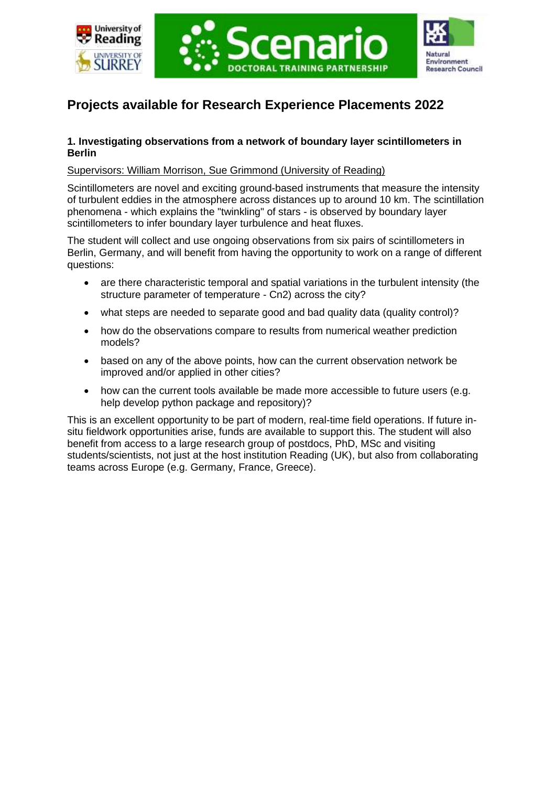





# **Projects available for Research Experience Placements 2022**

# **1. Investigating observations from a network of boundary layer scintillometers in Berlin**

# Supervisors: William Morrison, Sue Grimmond (University of Reading)

Scintillometers are novel and exciting ground-based instruments that measure the intensity of turbulent eddies in the atmosphere across distances up to around 10 km. The scintillation phenomena - which explains the "twinkling" of stars - is observed by boundary layer scintillometers to infer boundary layer turbulence and heat fluxes.

The student will collect and use ongoing observations from six pairs of scintillometers in Berlin, Germany, and will benefit from having the opportunity to work on a range of different questions:

- are there characteristic temporal and spatial variations in the turbulent intensity (the structure parameter of temperature - Cn2) across the city?
- what steps are needed to separate good and bad quality data (quality control)?
- how do the observations compare to results from numerical weather prediction models?
- based on any of the above points, how can the current observation network be improved and/or applied in other cities?
- how can the current tools available be made more accessible to future users (e.g. help develop python package and repository)?

This is an excellent opportunity to be part of modern, real-time field operations. If future insitu fieldwork opportunities arise, funds are available to support this. The student will also benefit from access to a large research group of postdocs, PhD, MSc and visiting students/scientists, not just at the host institution Reading (UK), but also from collaborating teams across Europe (e.g. Germany, France, Greece).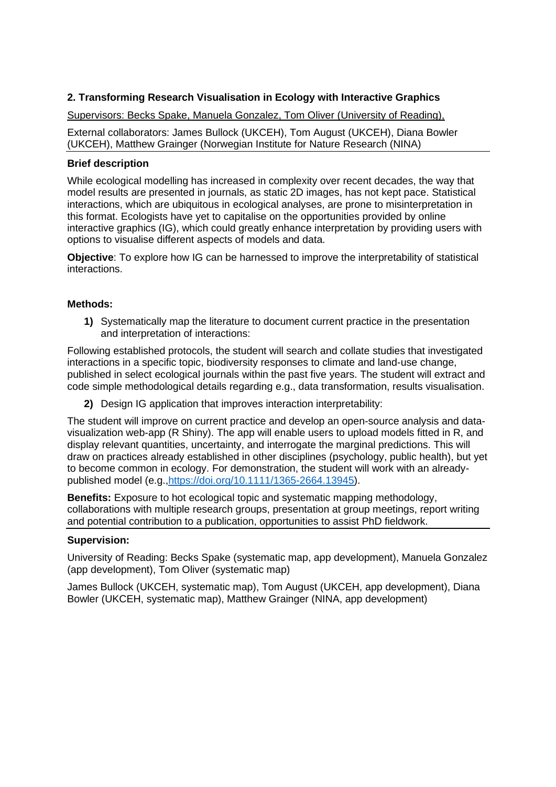# **2. Transforming Research Visualisation in Ecology with Interactive Graphics**

Supervisors: Becks Spake, Manuela Gonzalez, Tom Oliver (University of Reading),

External collaborators: James Bullock (UKCEH), Tom August (UKCEH), Diana Bowler (UKCEH), Matthew Grainger (Norwegian Institute for Nature Research (NINA)

## **Brief description**

While ecological modelling has increased in complexity over recent decades, the way that model results are presented in journals, as static 2D images, has not kept pace. Statistical interactions, which are ubiquitous in ecological analyses, are prone to misinterpretation in this format. Ecologists have yet to capitalise on the opportunities provided by online interactive graphics (IG), which could greatly enhance interpretation by providing users with options to visualise different aspects of models and data.

**Objective**: To explore how IG can be harnessed to improve the interpretability of statistical interactions.

## **Methods:**

**1)** Systematically map the literature to document current practice in the presentation and interpretation of interactions:

Following established protocols, the student will search and collate studies that investigated interactions in a specific topic, biodiversity responses to climate and land-use change, published in select ecological journals within the past five years. The student will extract and code simple methodological details regarding e.g., data transformation, results visualisation.

**2)** Design IG application that improves interaction interpretability:

The student will improve on current practice and develop an open-source analysis and datavisualization web-app (R Shiny). The app will enable users to upload models fitted in R, and display relevant quantities, uncertainty, and interrogate the marginal predictions. This will draw on practices already established in other disciplines (psychology, public health), but yet to become common in ecology. For demonstration, the student will work with an alreadypublished model (e.g.[,https://doi.org/10.1111/1365-2664.13945\)](https://doi.org/10.1111/1365-2664.13945).

**Benefits:** Exposure to hot ecological topic and systematic mapping methodology, collaborations with multiple research groups, presentation at group meetings, report writing and potential contribution to a publication, opportunities to assist PhD fieldwork.

## **Supervision:**

University of Reading: Becks Spake (systematic map, app development), Manuela Gonzalez (app development), Tom Oliver (systematic map)

James Bullock (UKCEH, systematic map), Tom August (UKCEH, app development), Diana Bowler (UKCEH, systematic map), Matthew Grainger (NINA, app development)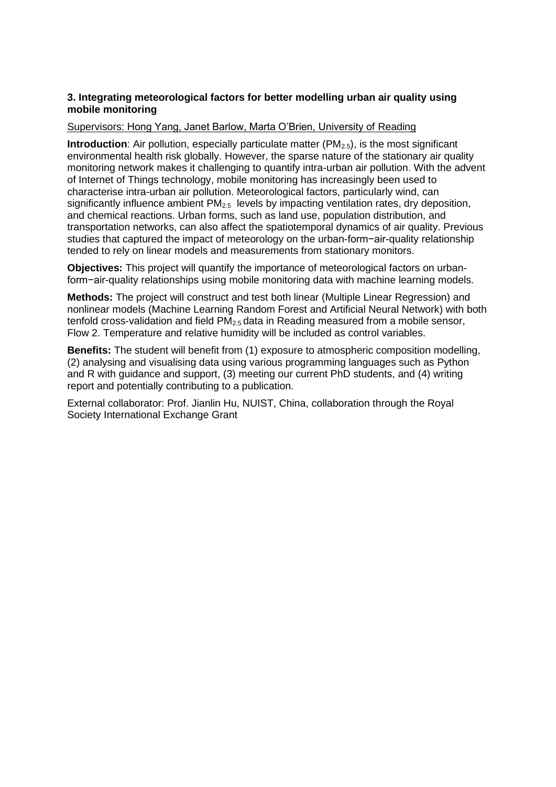## **3. Integrating meteorological factors for better modelling urban air quality using mobile monitoring**

#### Supervisors: Hong Yang, Janet Barlow, Marta O'Brien, University of Reading

**Introduction**: Air pollution, especially particulate matter (PM<sub>2.5</sub>), is the most significant environmental health risk globally. However, the sparse nature of the stationary air quality monitoring network makes it challenging to quantify intra-urban air pollution. With the advent of Internet of Things technology, mobile monitoring has increasingly been used to characterise intra-urban air pollution. Meteorological factors, particularly wind, can significantly influence ambient PM<sub>2.5</sub> levels by impacting ventilation rates, dry deposition, and chemical reactions. Urban forms, such as land use, population distribution, and transportation networks, can also affect the spatiotemporal dynamics of air quality. Previous studies that captured the impact of meteorology on the urban-form−air-quality relationship tended to rely on linear models and measurements from stationary monitors.

**Objectives:** This project will quantify the importance of meteorological factors on urbanform−air-quality relationships using mobile monitoring data with machine learning models.

**Methods:** The project will construct and test both linear (Multiple Linear Regression) and nonlinear models (Machine Learning Random Forest and Artificial Neural Network) with both tenfold cross-validation and field  $PM<sub>2.5</sub>$  data in Reading measured from a mobile sensor, Flow 2. Temperature and relative humidity will be included as control variables.

**Benefits:** The student will benefit from (1) exposure to atmospheric composition modelling, (2) analysing and visualising data using various programming languages such as Python and R with guidance and support, (3) meeting our current PhD students, and (4) writing report and potentially contributing to a publication.

External collaborator: Prof. Jianlin Hu, NUIST, China, collaboration through the Royal Society International Exchange Grant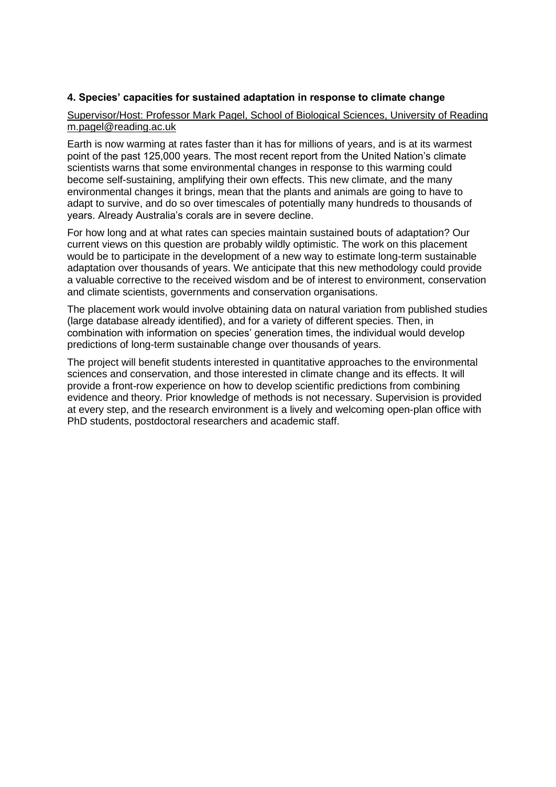## **4. Species' capacities for sustained adaptation in response to climate change**

#### Supervisor/Host: Professor Mark Pagel, School of Biological Sciences, University of Reading m.pagel@reading.ac.uk

Earth is now warming at rates faster than it has for millions of years, and is at its warmest point of the past 125,000 years. The most recent report from the United Nation's climate scientists warns that some environmental changes in response to this warming could become self-sustaining, amplifying their own effects. This new climate, and the many environmental changes it brings, mean that the plants and animals are going to have to adapt to survive, and do so over timescales of potentially many hundreds to thousands of years. Already Australia's corals are in severe decline.

For how long and at what rates can species maintain sustained bouts of adaptation? Our current views on this question are probably wildly optimistic. The work on this placement would be to participate in the development of a new way to estimate long-term sustainable adaptation over thousands of years. We anticipate that this new methodology could provide a valuable corrective to the received wisdom and be of interest to environment, conservation and climate scientists, governments and conservation organisations.

The placement work would involve obtaining data on natural variation from published studies (large database already identified), and for a variety of different species. Then, in combination with information on species' generation times, the individual would develop predictions of long-term sustainable change over thousands of years.

The project will benefit students interested in quantitative approaches to the environmental sciences and conservation, and those interested in climate change and its effects. It will provide a front-row experience on how to develop scientific predictions from combining evidence and theory. Prior knowledge of methods is not necessary. Supervision is provided at every step, and the research environment is a lively and welcoming open-plan office with PhD students, postdoctoral researchers and academic staff.